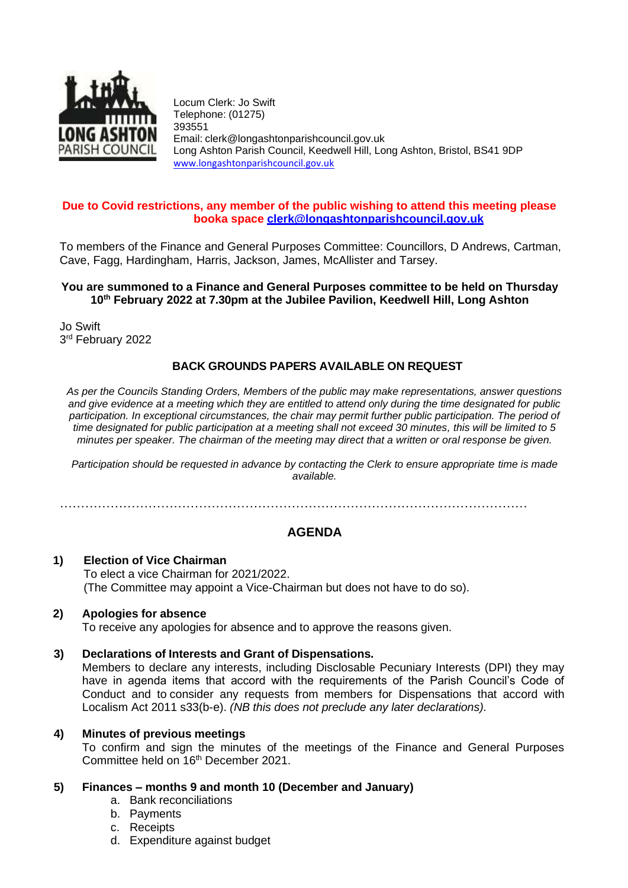

Locum Clerk: Jo Swift Telephone: (01275) 393551 Email: [clerk@longashtonparishcouncil.gov.uk](mailto:clerk@longashtonparishcouncil.gov.uk) Long Ashton Parish Council, Keedwell Hill, Long Ashton, Bristol, BS41 9DP [www.longashtonparishcouncil.gov.uk](http://www.longashtonparishcouncil.gov.uk/)

# **Due to Covid restrictions, any member of the public wishing to attend this meeting please booka space [clerk@longashtonparishcouncil.gov.uk](mailto:clerk@longashtonparishcouncil.gov.uk)**

To members of the Finance and General Purposes Committee: Councillors, D Andrews, Cartman, Cave, Fagg, Hardingham, Harris, Jackson, James, McAllister and Tarsey.

# **You are summoned to a Finance and General Purposes committee to be held on Thursday 10th February 2022 at 7.30pm at the Jubilee Pavilion, Keedwell Hill, Long Ashton**

Jo Swift 3 rd February 2022

# **BACK GROUNDS PAPERS AVAILABLE ON REQUEST**

*As per the Councils Standing Orders, Members of the public may make representations, answer questions and give evidence at a meeting which they are entitled to attend only during the time designated for public*  participation. In exceptional circumstances, the chair may permit further public participation. The period of *time designated for public participation at a meeting shall not exceed 30 minutes, this will be limited to 5 minutes per speaker. The chairman of the meeting may direct that a written or oral response be given.*

*Participation should be requested in advance by contacting the Clerk to ensure appropriate time is made available.*

…………………………………………………………………………………………………

# **AGENDA**

## **1) Election of Vice Chairman** To elect a vice Chairman for 2021/2022. (The Committee may appoint a Vice-Chairman but does not have to do so).

# **2) Apologies for absence**

To receive any apologies for absence and to approve the reasons given.

# **3) Declarations of Interests and Grant of Dispensations.**

Members to declare any interests, including Disclosable Pecuniary Interests (DPI) they may have in agenda items that accord with the requirements of the Parish Council's Code of Conduct and to consider any requests from members for Dispensations that accord with Localism Act 2011 s33(b-e). *(NB this does not preclude any later declarations).*

#### **4) Minutes of previous meetings**

To confirm and sign the minutes of the meetings of the Finance and General Purposes Committee held on 16th December 2021.

# **5) Finances – months 9 and month 10 (December and January)**

- a. Bank reconciliations
- b. Payments
- c. Receipts
- d. Expenditure against budget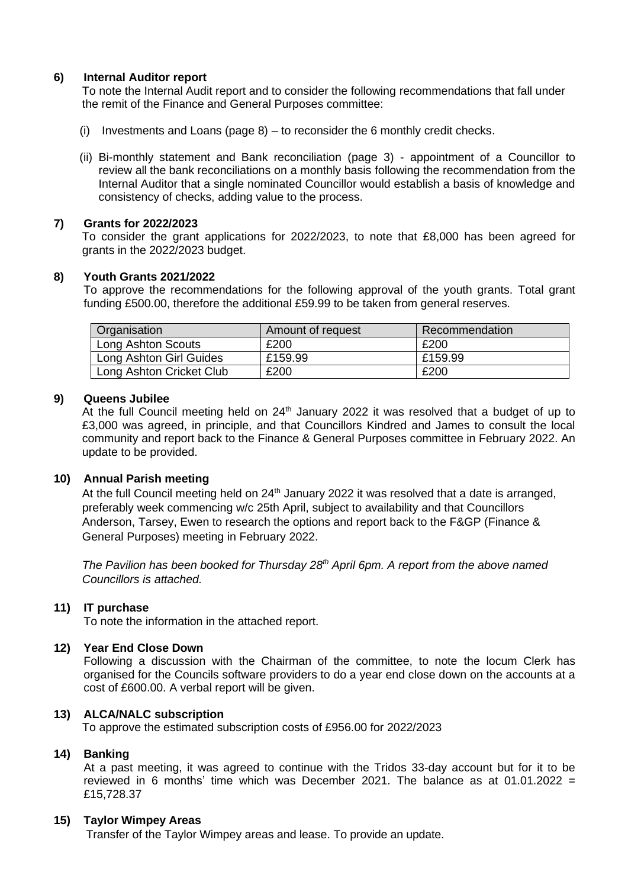## **6) Internal Auditor report**

To note the Internal Audit report and to consider the following recommendations that fall under the remit of the Finance and General Purposes committee:

- (i) Investments and Loans (page 8) to reconsider the 6 monthly credit checks.
- (ii) Bi-monthly statement and Bank reconciliation (page 3) appointment of a Councillor to review all the bank reconciliations on a monthly basis following the recommendation from the Internal Auditor that a single nominated Councillor would establish a basis of knowledge and consistency of checks, adding value to the process.

## **7) Grants for 2022/2023**

To consider the grant applications for 2022/2023, to note that £8,000 has been agreed for grants in the 2022/2023 budget.

## **8) Youth Grants 2021/2022**

To approve the recommendations for the following approval of the youth grants. Total grant funding £500.00, therefore the additional £59.99 to be taken from general reserves.

| <b>Organisation</b>      | Amount of request | Recommendation |
|--------------------------|-------------------|----------------|
| Long Ashton Scouts       | £200              | £200           |
| Long Ashton Girl Guides  | £159.99           | £159.99        |
| Long Ashton Cricket Club | £200              | £200           |

## **9) Queens Jubilee**

At the full Council meeting held on  $24<sup>th</sup>$  January 2022 it was resolved that a budget of up to £3,000 was agreed, in principle, and that Councillors Kindred and James to consult the local community and report back to the Finance & General Purposes committee in February 2022. An update to be provided.

#### **10) Annual Parish meeting**

At the full Council meeting held on 24<sup>th</sup> January 2022 it was resolved that a date is arranged, preferably week commencing w/c 25th April, subject to availability and that Councillors Anderson, Tarsey, Ewen to research the options and report back to the F&GP (Finance & General Purposes) meeting in February 2022.

*The Pavilion has been booked for Thursday 28th April 6pm. A report from the above named Councillors is attached.*

#### **11) IT purchase**

To note the information in the attached report.

#### **12) Year End Close Down**

Following a discussion with the Chairman of the committee, to note the locum Clerk has organised for the Councils software providers to do a year end close down on the accounts at a cost of £600.00. A verbal report will be given.

# **13) ALCA/NALC subscription**

To approve the estimated subscription costs of £956.00 for 2022/2023

#### **14) Banking**

At a past meeting, it was agreed to continue with the Tridos 33-day account but for it to be reviewed in 6 months' time which was December 2021. The balance as at 01.01.2022 = £15,728.37

#### **15) Taylor Wimpey Areas**

Transfer of the Taylor Wimpey areas and lease. To provide an update.